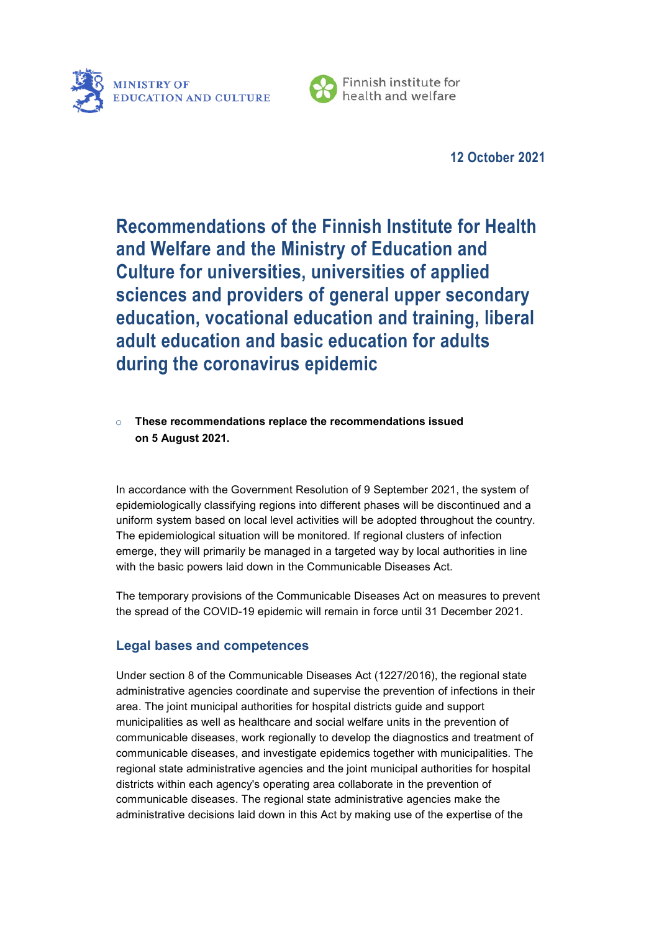



Finnish institute for health and welfare

**12 October 2021**

**Recommendations of the Finnish Institute for Health and Welfare and the Ministry of Education and Culture for universities, universities of applied sciences and providers of general upper secondary education, vocational education and training, liberal adult education and basic education for adults during the coronavirus epidemic** 

## o **These recommendations replace the recommendations issued on 5 August 2021.**

In accordance with the Government Resolution of 9 September 2021, the system of epidemiologically classifying regions into different phases will be discontinued and a uniform system based on local level activities will be adopted throughout the country. The epidemiological situation will be monitored. If regional clusters of infection emerge, they will primarily be managed in a targeted way by local authorities in line with the basic powers laid down in the Communicable Diseases Act.

The temporary provisions of the Communicable Diseases Act on measures to prevent the spread of the COVID-19 epidemic will remain in force until 31 December 2021.

# **Legal bases and competences**

Under section 8 of the Communicable Diseases Act (1227/2016), the regional state administrative agencies coordinate and supervise the prevention of infections in their area. The joint municipal authorities for hospital districts guide and support municipalities as well as healthcare and social welfare units in the prevention of communicable diseases, work regionally to develop the diagnostics and treatment of communicable diseases, and investigate epidemics together with municipalities. The regional state administrative agencies and the joint municipal authorities for hospital districts within each agency's operating area collaborate in the prevention of communicable diseases. The regional state administrative agencies make the administrative decisions laid down in this Act by making use of the expertise of the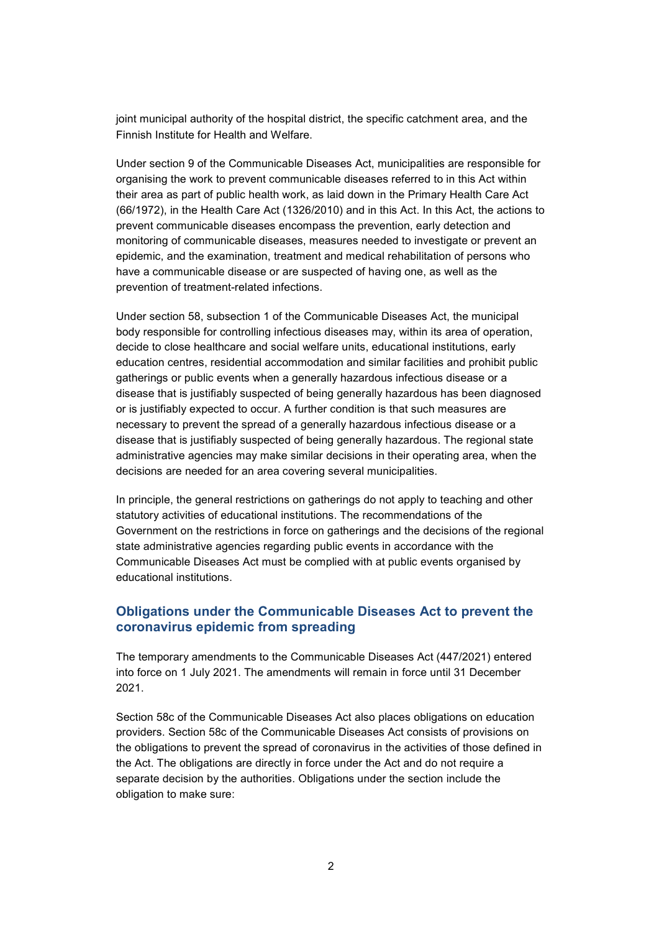joint municipal authority of the hospital district, the specific catchment area, and the Finnish Institute for Health and Welfare.

Under section 9 of the Communicable Diseases Act, municipalities are responsible for organising the work to prevent communicable diseases referred to in this Act within their area as part of public health work, as laid down in the Primary Health Care Act (66/1972), in the Health Care Act (1326/2010) and in this Act. In this Act, the actions to prevent communicable diseases encompass the prevention, early detection and monitoring of communicable diseases, measures needed to investigate or prevent an epidemic, and the examination, treatment and medical rehabilitation of persons who have a communicable disease or are suspected of having one, as well as the prevention of treatment-related infections.

Under section 58, subsection 1 of the Communicable Diseases Act, the municipal body responsible for controlling infectious diseases may, within its area of operation, decide to close healthcare and social welfare units, educational institutions, early education centres, residential accommodation and similar facilities and prohibit public gatherings or public events when a generally hazardous infectious disease or a disease that is justifiably suspected of being generally hazardous has been diagnosed or is justifiably expected to occur. A further condition is that such measures are necessary to prevent the spread of a generally hazardous infectious disease or a disease that is justifiably suspected of being generally hazardous. The regional state administrative agencies may make similar decisions in their operating area, when the decisions are needed for an area covering several municipalities.

In principle, the general restrictions on gatherings do not apply to teaching and other statutory activities of educational institutions. The recommendations of the Government on the restrictions in force on gatherings and the decisions of the regional state administrative agencies regarding public events in accordance with the Communicable Diseases Act must be complied with at public events organised by educational institutions.

## **Obligations under the Communicable Diseases Act to prevent the coronavirus epidemic from spreading**

The temporary amendments to the Communicable Diseases Act (447/2021) entered into force on 1 July 2021. The amendments will remain in force until 31 December 2021.

Section 58c of the Communicable Diseases Act also places obligations on education providers. Section 58c of the Communicable Diseases Act consists of provisions on the obligations to prevent the spread of coronavirus in the activities of those defined in the Act. The obligations are directly in force under the Act and do not require a separate decision by the authorities. Obligations under the section include the obligation to make sure: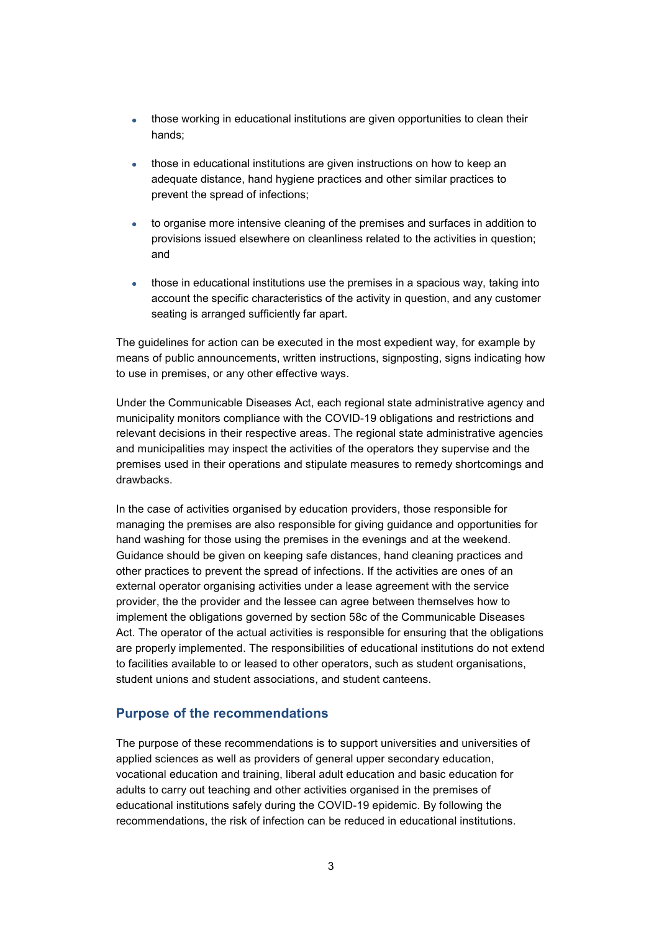- those working in educational institutions are given opportunities to clean their hands;
- those in educational institutions are given instructions on how to keep an adequate distance, hand hygiene practices and other similar practices to prevent the spread of infections;
- to organise more intensive cleaning of the premises and surfaces in addition to provisions issued elsewhere on cleanliness related to the activities in question; and
- those in educational institutions use the premises in a spacious way, taking into account the specific characteristics of the activity in question, and any customer seating is arranged sufficiently far apart.

The guidelines for action can be executed in the most expedient way, for example by means of public announcements, written instructions, signposting, signs indicating how to use in premises, or any other effective ways.

Under the Communicable Diseases Act, each regional state administrative agency and municipality monitors compliance with the COVID-19 obligations and restrictions and relevant decisions in their respective areas. The regional state administrative agencies and municipalities may inspect the activities of the operators they supervise and the premises used in their operations and stipulate measures to remedy shortcomings and drawbacks.

In the case of activities organised by education providers, those responsible for managing the premises are also responsible for giving guidance and opportunities for hand washing for those using the premises in the evenings and at the weekend. Guidance should be given on keeping safe distances, hand cleaning practices and other practices to prevent the spread of infections. If the activities are ones of an external operator organising activities under a lease agreement with the service provider, the the provider and the lessee can agree between themselves how to implement the obligations governed by section 58c of the Communicable Diseases Act. The operator of the actual activities is responsible for ensuring that the obligations are properly implemented. The responsibilities of educational institutions do not extend to facilities available to or leased to other operators, such as student organisations, student unions and student associations, and student canteens.

## **Purpose of the recommendations**

The purpose of these recommendations is to support universities and universities of applied sciences as well as providers of general upper secondary education, vocational education and training, liberal adult education and basic education for adults to carry out teaching and other activities organised in the premises of educational institutions safely during the COVID-19 epidemic. By following the recommendations, the risk of infection can be reduced in educational institutions.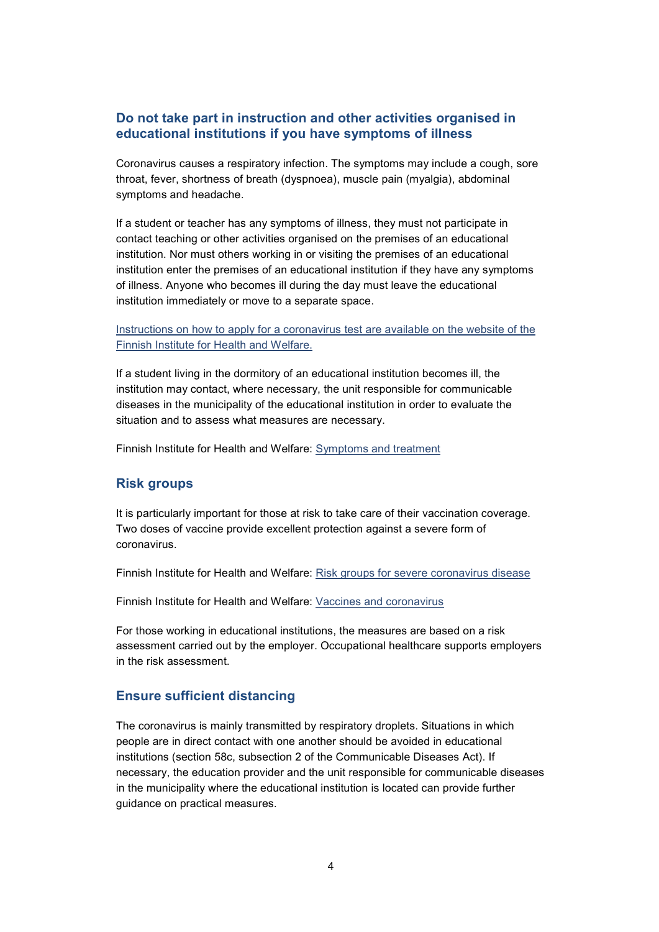### **Do not take part in instruction and other activities organised in educational institutions if you have symptoms of illness**

Coronavirus causes a respiratory infection. The symptoms may include a cough, sore throat, fever, shortness of breath (dyspnoea), muscle pain (myalgia), abdominal symptoms and headache.

If a student or teacher has any symptoms of illness, they must not participate in contact teaching or other activities organised on the premises of an educational institution. Nor must others working in or visiting the premises of an educational institution enter the premises of an educational institution if they have any symptoms of illness. Anyone who becomes ill during the day must leave the educational institution immediately or move to a separate space.

[Instructions on how to apply for a coronavirus test are available on the website of the](https://thl.fi/en/web/infectious-diseases-and-vaccinations/what-s-new/coronavirus-covid-19-latest-updates/symptoms-and-treatment-coronavirus/coronavirus-tests)  [Finnish Institute for Health and Welfare.](https://thl.fi/en/web/infectious-diseases-and-vaccinations/what-s-new/coronavirus-covid-19-latest-updates/symptoms-and-treatment-coronavirus/coronavirus-tests)

If a student living in the dormitory of an educational institution becomes ill, the institution may contact, where necessary, the unit responsible for communicable diseases in the municipality of the educational institution in order to evaluate the situation and to assess what measures are necessary.

Finnish Institute for Health and Welfare: [Symptoms and treatment](https://thl.fi/en/web/infectious-diseases-and-vaccinations/what-s-new/coronavirus-covid-19-latest-updates/symptoms-and-treatment-coronavirus) 

#### **Risk groups**

It is particularly important for those at risk to take care of their vaccination coverage. Two doses of vaccine provide excellent protection against a severe form of coronavirus.

Finnish Institute for Health and Welfare: [Risk groups for severe coronavirus disease](https://thl.fi/en/web/infectious-diseases-and-vaccinations/what-s-new/coronavirus-covid-19-latest-updates/risk-groups-for-severe-coronavirus-disease)

Finnish Institute for Health and Welfare: [Vaccines and coronavirus](https://thl.fi/en/web/infectious-diseases-and-vaccinations/what-s-new/coronavirus-covid-19-latest-updates/vaccines-and-coronavirus)

For those working in educational institutions, the measures are based on a risk assessment carried out by the employer. Occupational healthcare supports employers in the risk assessment.

#### **Ensure sufficient distancing**

The coronavirus is mainly transmitted by respiratory droplets. Situations in which people are in direct contact with one another should be avoided in educational institutions (section 58c, subsection 2 of the Communicable Diseases Act). If necessary, the education provider and the unit responsible for communicable diseases in the municipality where the educational institution is located can provide further guidance on practical measures.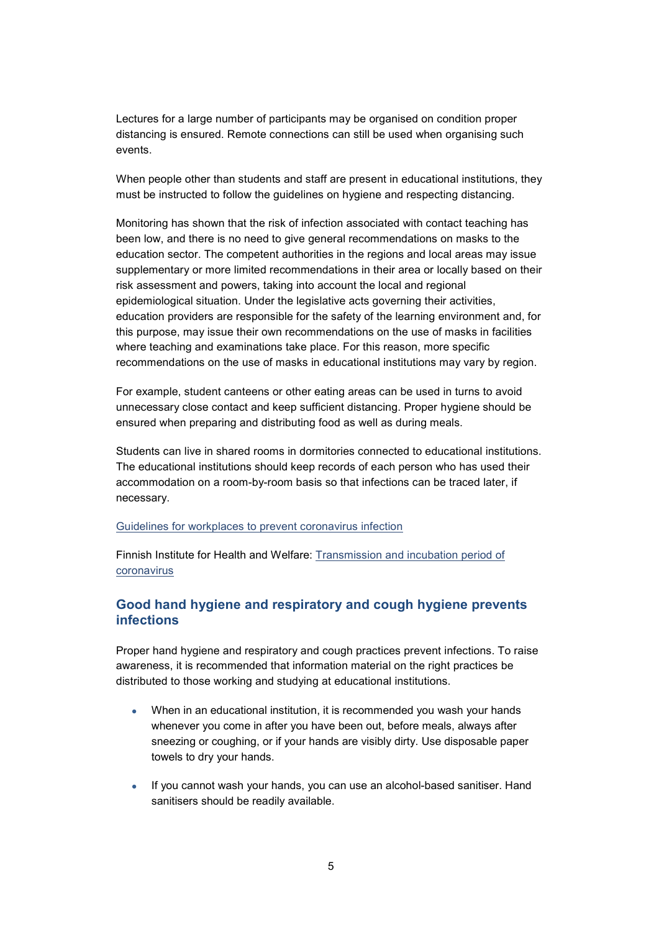Lectures for a large number of participants may be organised on condition proper distancing is ensured. Remote connections can still be used when organising such events.

When people other than students and staff are present in educational institutions, they must be instructed to follow the guidelines on hygiene and respecting distancing.

Monitoring has shown that the risk of infection associated with contact teaching has been low, and there is no need to give general recommendations on masks to the education sector. The competent authorities in the regions and local areas may issue supplementary or more limited recommendations in their area or locally based on their risk assessment and powers, taking into account the local and regional epidemiological situation. Under the legislative acts governing their activities, education providers are responsible for the safety of the learning environment and, for this purpose, may issue their own recommendations on the use of masks in facilities where teaching and examinations take place. For this reason, more specific recommendations on the use of masks in educational institutions may vary by region.

For example, student canteens or other eating areas can be used in turns to avoid unnecessary close contact and keep sufficient distancing. Proper hygiene should be ensured when preparing and distributing food as well as during meals.

Students can live in shared rooms in dormitories connected to educational institutions. The educational institutions should keep records of each person who has used their accommodation on a room-by-room basis so that infections can be traced later, if necessary.

#### [Guidelines for workplaces to prevent coronavirus infection](https://hyvatyo.ttl.fi/en/koronavirus/en/guidelines-for-workers-to-prevent-coronavirus-infection)

Finnish Institute for Health and Welfare: [Transmission and incubation period of](https://thl.fi/en/web/infectious-diseases-and-vaccinations/what-s-new/coronavirus-covid-19-latest-updates/transmission-and-protection-coronavirus/transmission-and-incubation-period-of-coronavirus)  [coronavirus](https://thl.fi/en/web/infectious-diseases-and-vaccinations/what-s-new/coronavirus-covid-19-latest-updates/transmission-and-protection-coronavirus/transmission-and-incubation-period-of-coronavirus)

### **Good hand hygiene and respiratory and cough hygiene prevents infections**

Proper hand hygiene and respiratory and cough practices prevent infections. To raise awareness, it is recommended that information material on the right practices be distributed to those working and studying at educational institutions.

- When in an educational institution, it is recommended you wash your hands whenever you come in after you have been out, before meals, always after sneezing or coughing, or if your hands are visibly dirty. Use disposable paper towels to dry your hands.
- If you cannot wash your hands, you can use an alcohol-based sanitiser. Hand sanitisers should be readily available.